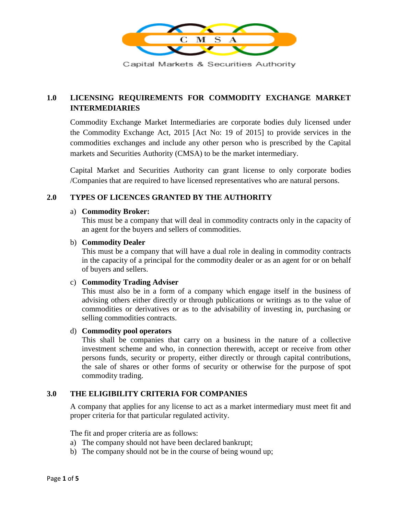

Capital Markets & Securities Authority

# **1.0 LICENSING REQUIREMENTS FOR COMMODITY EXCHANGE MARKET INTERMEDIARIES**

Commodity Exchange Market Intermediaries are corporate bodies duly licensed under the Commodity Exchange Act, 2015 [Act No: 19 of 2015] to provide services in the commodities exchanges and include any other person who is prescribed by the Capital markets and Securities Authority (CMSA) to be the market intermediary.

Capital Market and Securities Authority can grant license to only corporate bodies /Companies that are required to have licensed representatives who are natural persons.

# **2.0 TYPES OF LICENCES GRANTED BY THE AUTHORITY**

#### a) **Commodity Broker:**

This must be a company that will deal in commodity contracts only in the capacity of an agent for the buyers and sellers of commodities.

#### b) **Commodity Dealer**

This must be a company that will have a dual role in dealing in commodity contracts in the capacity of a principal for the commodity dealer or as an agent for or on behalf of buyers and sellers.

#### c) **Commodity Trading Adviser**

This must also be in a form of a company which engage itself in the business of advising others either directly or through publications or writings as to the value of commodities or derivatives or as to the advisability of investing in, purchasing or selling commodities contracts.

### d) **Commodity pool operators**

This shall be companies that carry on a business in the nature of a collective investment scheme and who, in connection therewith, accept or receive from other persons funds, security or property, either directly or through capital contributions, the sale of shares or other forms of security or otherwise for the purpose of spot commodity trading.

#### **3.0 THE ELIGIBILITY CRITERIA FOR COMPANIES**

A company that applies for any license to act as a market intermediary must meet fit and proper criteria for that particular regulated activity.

The fit and proper criteria are as follows:

- a) The company should not have been declared bankrupt;
- b) The company should not be in the course of being wound up;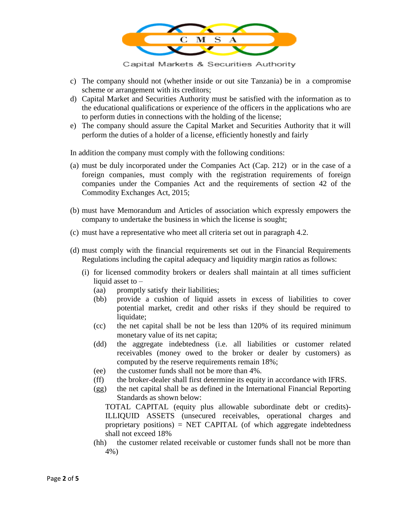

Capital Markets & Securities Authority

- c) The company should not (whether inside or out site Tanzania) be in a compromise scheme or arrangement with its creditors;
- d) Capital Market and Securities Authority must be satisfied with the information as to the educational qualifications or experience of the officers in the applications who are to perform duties in connections with the holding of the license;
- e) The company should assure the Capital Market and Securities Authority that it will perform the duties of a holder of a license, efficiently honestly and fairly

In addition the company must comply with the following conditions:

- (a) must be duly incorporated under the Companies Act (Cap. 212) or in the case of a foreign companies, must comply with the registration requirements of foreign companies under the Companies Act and the requirements of section 42 of the Commodity Exchanges Act, 2015;
- (b) must have Memorandum and Articles of association which expressly empowers the company to undertake the business in which the license is sought;
- (c) must have a representative who meet all criteria set out in paragraph 4.2.
- (d) must comply with the financial requirements set out in the Financial Requirements Regulations including the capital adequacy and liquidity margin ratios as follows:
	- (i) for licensed commodity brokers or dealers shall maintain at all times sufficient liquid asset to –
		- (aa) promptly satisfy their liabilities;
		- (bb) provide a cushion of liquid assets in excess of liabilities to cover potential market, credit and other risks if they should be required to liquidate;
		- (cc) the net capital shall be not be less than 120% of its required minimum monetary value of its net capita;
		- (dd) the aggregate indebtedness (i.e. all liabilities or customer related receivables (money owed to the broker or dealer by customers) as computed by the reserve requirements remain 18%;
		- (ee) the customer funds shall not be more than 4%.
		- (ff) the broker-dealer shall first determine its equity in accordance with IFRS.
		- (gg) the net capital shall be as defined in the International Financial Reporting Standards as shown below:

TOTAL CAPITAL (equity plus allowable subordinate debt or credits)- ILLIQUID ASSETS (unsecured receivables, operational charges and proprietary positions) = NET CAPITAL (of which aggregate indebtedness shall not exceed 18%

(hh) the customer related receivable or customer funds shall not be more than 4%)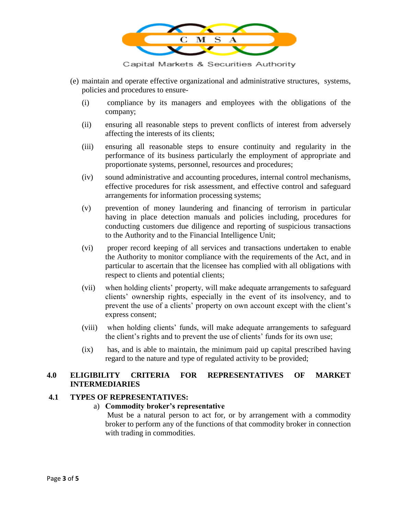

Capital Markets & Securities Authority

- (e) maintain and operate effective organizational and administrative structures, systems, policies and procedures to ensure-
	- (i) compliance by its managers and employees with the obligations of the company;
	- (ii) ensuring all reasonable steps to prevent conflicts of interest from adversely affecting the interests of its clients;
	- (iii) ensuring all reasonable steps to ensure continuity and regularity in the performance of its business particularly the employment of appropriate and proportionate systems, personnel, resources and procedures;
	- (iv) sound administrative and accounting procedures, internal control mechanisms, effective procedures for risk assessment, and effective control and safeguard arrangements for information processing systems;
	- (v) prevention of money laundering and financing of terrorism in particular having in place detection manuals and policies including, procedures for conducting customers due diligence and reporting of suspicious transactions to the Authority and to the Financial Intelligence Unit;
	- (vi) proper record keeping of all services and transactions undertaken to enable the Authority to monitor compliance with the requirements of the Act, and in particular to ascertain that the licensee has complied with all obligations with respect to clients and potential clients;
	- (vii) when holding clients' property, will make adequate arrangements to safeguard clients' ownership rights, especially in the event of its insolvency, and to prevent the use of a clients' property on own account except with the client's express consent;
	- (viii) when holding clients' funds, will make adequate arrangements to safeguard the client's rights and to prevent the use of clients' funds for its own use;
	- (ix) has, and is able to maintain, the minimum paid up capital prescribed having regard to the nature and type of regulated activity to be provided;

# **4.0 ELIGIBILITY CRITERIA FOR REPRESENTATIVES OF MARKET INTERMEDIARIES**

#### **4.1 TYPES OF REPRESENTATIVES:**

#### a) **Commodity broker's representative**

Must be a natural person to act for, or by arrangement with a commodity broker to perform any of the functions of that commodity broker in connection with trading in commodities.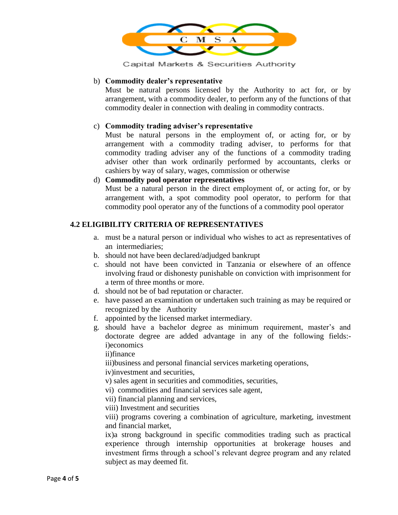

Capital Markets & Securities Authority

### b) **Commodity dealer's representative**

Must be natural persons licensed by the Authority to act for, or by arrangement, with a commodity dealer, to perform any of the functions of that commodity dealer in connection with dealing in commodity contracts.

# c) **Commodity trading adviser's representative**

Must be natural persons in the employment of, or acting for, or by arrangement with a commodity trading adviser, to performs for that commodity trading adviser any of the functions of a commodity trading adviser other than work ordinarily performed by accountants, clerks or cashiers by way of salary, wages, commission or otherwise

# d) **Commodity pool operator representatives**

Must be a natural person in the direct employment of, or acting for, or by arrangement with, a spot commodity pool operator, to perform for that commodity pool operator any of the functions of a commodity pool operator

# **4.2 ELIGIBILITY CRITERIA OF REPRESENTATIVES**

- a. must be a natural person or individual who wishes to act as representatives of an intermediaries;
- b. should not have been declared/adjudged bankrupt
- c. should not have been convicted in Tanzania or elsewhere of an offence involving fraud or dishonesty punishable on conviction with imprisonment for a term of three months or more.
- d. should not be of bad reputation or character.
- e. have passed an examination or undertaken such training as may be required or recognized by the Authority
- f. appointed by the licensed market intermediary.
- g. should have a bachelor degree as minimum requirement, master's and doctorate degree are added advantage in any of the following fields: i)economics

ii)finance

iii)business and personal financial services marketing operations, iv)investment and securities,

v) sales agent in securities and commodities, securities,

- vi) commodities and financial services sale agent,
- vii) financial planning and services,
- viii) Investment and securities

viii) programs covering a combination of agriculture, marketing, investment and financial market,

ix)a strong background in specific commodities trading such as practical experience through internship opportunities at brokerage houses and investment firms through a school's relevant degree program and any related subject as may deemed fit.